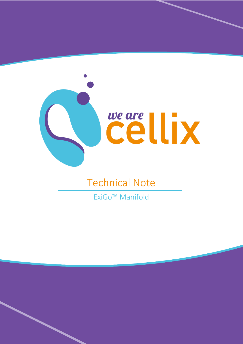

## **Technical Note**

ExiGo<sup>™</sup> Manifold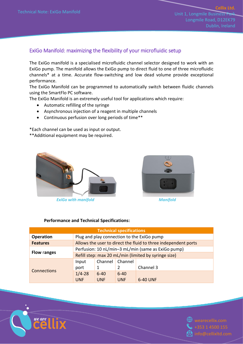Unit 1, Longmile Business Pa Longmile Road, D12EK79 Dublin, Ireland

**Cellix Ltd.** 

## ExiGo Manifold: maximizing the flexibility of your microfluidic setup

The ExiGo manifold is a specialised microfluidic channel selector designed to work with an ExiGo pump. The manifold allows the ExiGo pump to direct fluid to one of three microfluidic channels\* at a time. Accurate flow-switching and low dead volume provide exceptional performance.

The ExiGo Manifold can be programmed to automatically switch between fluidic channels using the SmartFlo PC software.

The ExiGo Manifold is an extremely useful tool for applications which require:

- Automatic refilling of the syringe
- Asynchronous injection of a reagent in multiple channels
- Continuous perfusion over long periods of time\*\*

\*Each channel can be used as input or output.

\*\*Additional equipment may be required.



*ExiGo with manifold Manifold*



## **Performance and Technical Specifications:**

|                    |                                                                |                                                    | <b>Technical specifications</b> |                                            |  |
|--------------------|----------------------------------------------------------------|----------------------------------------------------|---------------------------------|--------------------------------------------|--|
| <b>Operation</b>   |                                                                |                                                    |                                 | Plug and play connection to the ExiGo pump |  |
| <b>Features</b>    | Allows the user to direct the fluid to three independent ports |                                                    |                                 |                                            |  |
|                    |                                                                | Perfusion: 10 nL/min-3 mL/min (same as ExiGo pump) |                                 |                                            |  |
| <b>Flow ranges</b> | Refill step: max 20 mL/min (limited by syringe size)           |                                                    |                                 |                                            |  |
|                    | Input                                                          | Channel                                            | Channel                         |                                            |  |
| Connections        | port                                                           |                                                    |                                 | Channel 3                                  |  |
|                    | $1/4 - 28$                                                     | $6 - 40$                                           | $6 - 40$                        |                                            |  |
|                    | <b>UNF</b>                                                     | <b>UNF</b>                                         | <b>UNF</b>                      | 6-40 UNF                                   |  |



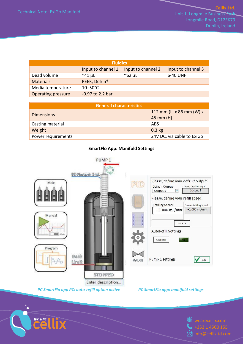Unit 1, Longmile Business Park Longmile Road, D12EK79 Dublin, Ireland

|                           | <b>Fluidics</b>           |                    |                    |
|---------------------------|---------------------------|--------------------|--------------------|
|                           | Input to channel 1        | Input to channel 2 | Input to channel 3 |
| Dead volume               | $^{\sim}$ 41 µL           | $\approx$ 62 µL    | 6-40 UNF           |
| <b>Materials</b>          | PEEK, Delrin <sup>®</sup> |                    |                    |
| Media temperature         | $10-50^{\circ}$ C         |                    |                    |
| <b>Operating pressure</b> | $-0.97$ to 2.2 bar        |                    |                    |

| <b>General characteristics</b> |                                         |
|--------------------------------|-----------------------------------------|
| <b>Dimensions</b>              | 112 mm (L) x 86 mm (W) x<br>$45$ mm (H) |
| Casting material               | ABS                                     |
| Weight                         | $0.3$ kg                                |
| Power requirements             | 24V DC, via cable to ExiGo              |

## **SmartFlo App: Manifold Settings**



*PC SmartFlo app PC: auto-refill option active PC SmartFlo app: manifold settings*